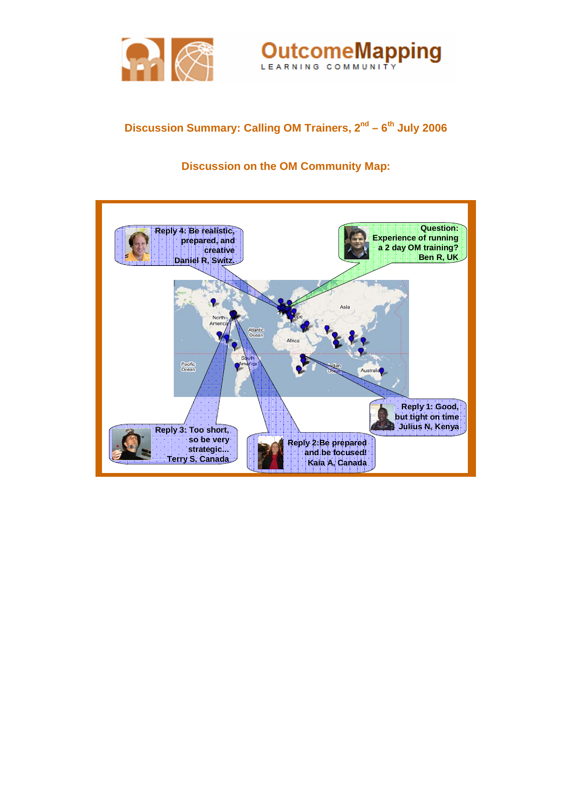



# Discussion Summary: Calling OM Trainers, 2<sup>nd</sup> – 6<sup>th</sup> July 2006

## **Discussion on the OM Community Map:**

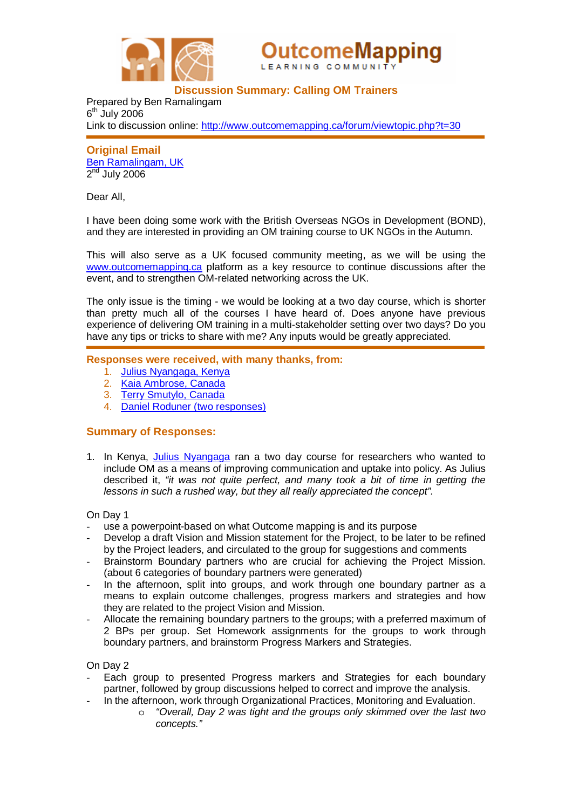



## **Discussion Summary: Calling OM Trainers**

Prepared by Ben Ramalingam  $6<sup>th</sup>$  July 2006 Link to discussion online: <http://www.outcomemapping.ca/forum/viewtopic.php?t=30>

**Original Email**  [Ben Ramalingam,](http://www.outcomemapping.ca/members/member.php?id=2) UK  $2<sup>nd</sup>$  July 2006

Dear All,

I have been doing some work with the British Overseas NGOs in Development (BOND), and they are interested in providing an OM training course to UK NGOs in the Autumn.

This will also serve as a UK focused community meeting, as we will be using the www.outcomemapping.ca platform as a key resource to continue discussions after the event, and to strengthen OM-related networking across the UK.

The only issue is the timing - we would be looking at a two day course, which is shorter than pretty much all of the courses I have heard of. Does anyone have previous experience of delivering OM training in a multi-stakeholder setting over two days? Do you have any tips or tricks to share with me? Any inputs would be greatly appreciated.

### **Responses were received, with many thanks, from:**

- 1. [Julius Nyangaga, Kenya](http://www.outcomemapping.ca/members/member.php?id=44)
- 2. [Kaia Ambrose, Canada](http://www.outcomemapping.ca/members/member.php?id=47)
- 3. [Terry Smutylo, Canada](http://www.outcomemapping.ca/members/member.php?id=94)
- 4. [Daniel Roduner \(two responses\)](http://www.outcomemapping.ca/members/member.php?id=24)

#### **Summary of Responses:**

1. In Kenya, [Julius Nyangaga](http://www.outcomemapping.ca/members/member.php?id=44) ran a two day course for researchers who wanted to include OM as a means of improving communication and uptake into policy. As Julius described it, *"it was not quite perfect, and many took a bit of time in getting the lessons in such a rushed way, but they all really appreciated the concept".*

On Day 1

- use a powerpoint-based on what Outcome mapping is and its purpose
- Develop a draft Vision and Mission statement for the Project, to be later to be refined by the Project leaders, and circulated to the group for suggestions and comments
- Brainstorm Boundary partners who are crucial for achieving the Project Mission. (about 6 categories of boundary partners were generated)
- In the afternoon, split into groups, and work through one boundary partner as a means to explain outcome challenges, progress markers and strategies and how they are related to the project Vision and Mission.
- Allocate the remaining boundary partners to the groups; with a preferred maximum of 2 BPs per group. Set Homework assignments for the groups to work through boundary partners, and brainstorm Progress Markers and Strategies.

On Day 2

- Each group to presented Progress markers and Strategies for each boundary partner, followed by group discussions helped to correct and improve the analysis.
- In the afternoon, work through Organizational Practices, Monitoring and Evaluation.
	- o *"Overall, Day 2 was tight and the groups only skimmed over the last two concepts."*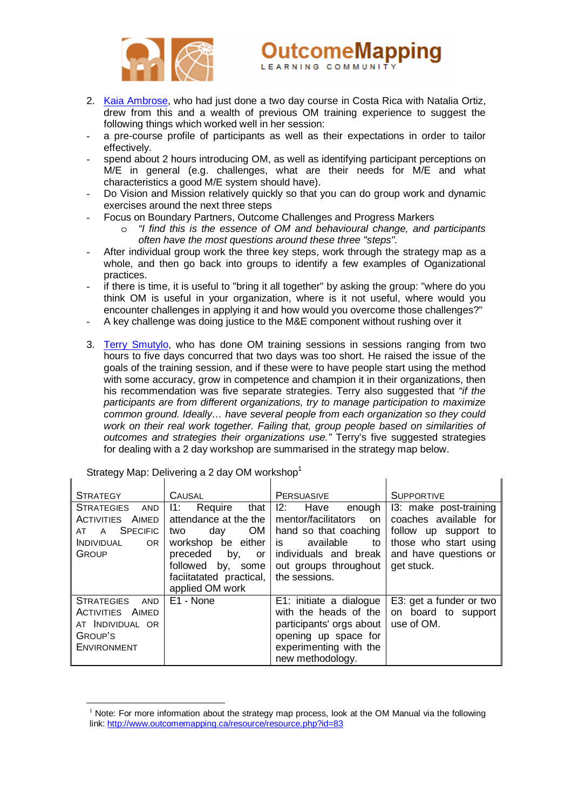

2. [Kaia Ambrose](http://www.outcomemapping.ca/members/member.php?id=47), who had just done a two day course in Costa Rica with Natalia Ortiz, drew from this and a wealth of previous OM training experience to suggest the following things which worked well in her session:

utcomeMapping

 $\overline{1}$ 

- a pre-course profile of participants as well as their expectations in order to tailor effectively.
- spend about 2 hours introducing OM, as well as identifying participant perceptions on M/E in general (e.g. challenges, what are their needs for M/E and what characteristics a good M/E system should have).
- Do Vision and Mission relatively quickly so that you can do group work and dynamic exercises around the next three steps
	- Focus on Boundary Partners, Outcome Challenges and Progress Markers
		- o *"I find this is the essence of OM and behavioural change, and participants often have the most questions around these three "steps".*
- After individual group work the three key steps, work through the strategy map as a whole, and then go back into groups to identify a few examples of Oganizational practices.
- if there is time, it is useful to "bring it all together" by asking the group: "where do you think OM is useful in your organization, where is it not useful, where would you encounter challenges in applying it and how would you overcome those challenges?"
- A key challenge was doing justice to the M&E component without rushing over it
- 3. [Terry Smutylo](http://www.outcomemapping.ca/members/member.php?id=94), who has done OM training sessions in sessions ranging from two hours to five days concurred that two days was too short. He raised the issue of the goals of the training session, and if these were to have people start using the method with some accuracy, grow in competence and champion it in their organizations, then his recommendation was five separate strategies. Terry also suggested that *"if the participants are from different organizations, try to manage participation to maximize common ground. Ideally… have several people from each organization so they could work on their real work together. Failing that, group people based on similarities of outcomes and strategies their organizations use."* Terry's five suggested strategies for dealing with a 2 day workshop are summarised in the strategy map below.

| <b>STRATEGY</b>                                                                                                                             | <b>CAUSAL</b>                                                                                                                                                                         | <b>PERSUASIVE</b>                                                                                                                                                         | <b>SUPPORTIVE</b>                                                                                                                       |
|---------------------------------------------------------------------------------------------------------------------------------------------|---------------------------------------------------------------------------------------------------------------------------------------------------------------------------------------|---------------------------------------------------------------------------------------------------------------------------------------------------------------------------|-----------------------------------------------------------------------------------------------------------------------------------------|
| <b>STRATEGIES</b><br><b>AND</b><br>AIMED<br>ACTIVITIES<br><b>SPECIFIC</b><br>$\mathsf{A}$<br>AT<br><b>INDIVIDUAL</b><br>OR.<br><b>GROUP</b> | Require<br>I1:<br>that<br>attendance at the the<br>OM<br>day<br>two<br>workshop be either<br>preceded<br>by,<br>or<br>followed by, some<br>faciitatated practical,<br>applied OM work | Have<br>12:<br>enough<br>mentor/facilitators<br>on.<br>hand so that coaching<br>is.<br>available<br>to<br>individuals and break<br>out groups throughout<br>the sessions. | 13: make post-training<br>coaches available for<br>follow up support to<br>those who start using<br>and have questions or<br>get stuck. |
| <b>STRATEGIES</b><br><b>AND</b><br><b>ACTIVITIES AIMED</b><br>AT INDIVIDUAL OR<br>GROUP'S<br><b>ENVIRONMENT</b>                             | E1 - None                                                                                                                                                                             | E1: initiate a dialogue<br>with the heads of the<br>participants' orgs about<br>opening up space for<br>experimenting with the<br>new methodology.                        | E3: get a funder or two<br>on board to support<br>use of OM.                                                                            |

Strategy Map: Delivering a 2 day OM workshop<sup>1</sup>

 $\overline{a}$ 

<span id="page-2-0"></span> $1$  Note: For more information about the strategy map process, look at the OM Manual via the following link: <http://www.outcomemapping.ca/resource/resource.php?id=83>